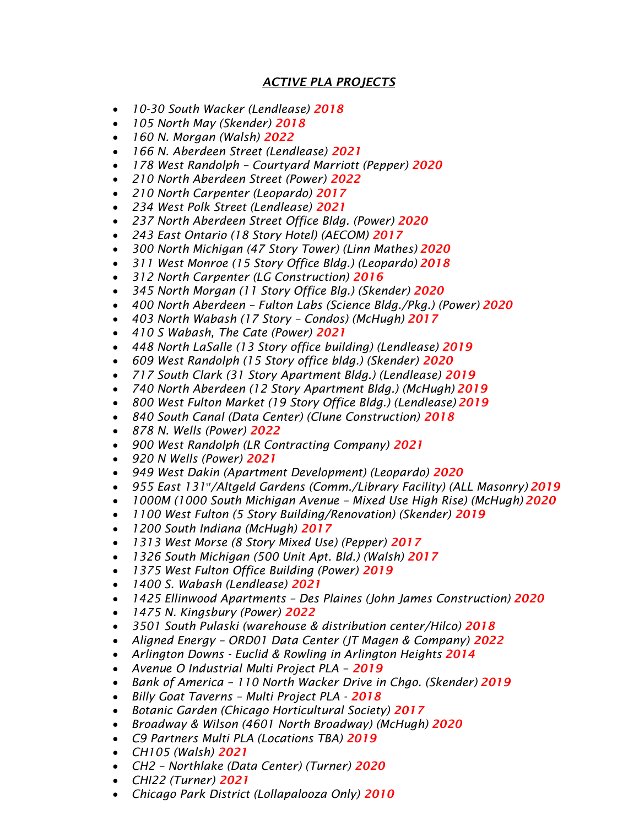## *ACTIVE PLA PROJECTS*

- *10-30 South Wacker (Lendlease) 2018*
- *105 North May (Skender) 2018*
- *160 N. Morgan (Walsh) 2022*
- *166 N. Aberdeen Street (Lendlease) 2021*
- *178 West Randolph – Courtyard Marriott (Pepper) 2020*
- *210 North Aberdeen Street (Power) 2022*
- *210 North Carpenter (Leopardo) 2017*
- *234 West Polk Street (Lendlease) 2021*
- *237 North Aberdeen Street Office Bldg. (Power) 2020*
- *243 East Ontario (18 Story Hotel) (AECOM) 2017*
- *300 North Michigan (47 Story Tower) (Linn Mathes) 2020*
- *311 West Monroe (15 Story Office Bldg.) (Leopardo) 2018*
- *312 North Carpenter (LG Construction) 2016*
- *345 North Morgan (11 Story Office Blg.) (Skender) 2020*
- *400 North Aberdeen – Fulton Labs (Science Bldg./Pkg.) (Power) 2020*
- *403 North Wabash (17 Story – Condos) (McHugh) 2017*
- *410 S Wabash, The Cate (Power) 2021*
- *448 North LaSalle (13 Story office building) (Lendlease) 2019*
- *609 West Randolph (15 Story office bldg.) (Skender) 2020*
- *717 South Clark (31 Story Apartment Bldg.) (Lendlease) 2019*
- *740 North Aberdeen (12 Story Apartment Bldg.) (McHugh) 2019*
- *800 West Fulton Market (19 Story Office Bldg.) (Lendlease) 2019*
- *840 South Canal (Data Center) (Clune Construction) 2018*
- *878 N. Wells (Power) 2022*
- *900 West Randolph (LR Contracting Company) 2021*
- *920 N Wells (Power) 2021*
- *949 West Dakin (Apartment Development) (Leopardo) 2020*
- *955 East 131st/Altgeld Gardens (Comm./Library Facility) (ALL Masonry) 2019*
- *1000M (1000 South Michigan Avenue – Mixed Use High Rise) (McHugh) 2020*
- *1100 West Fulton (5 Story Building/Renovation) (Skender) 2019*
- *1200 South Indiana (McHugh) 2017*
- *1313 West Morse (8 Story Mixed Use) (Pepper) 2017*
- *1326 South Michigan (500 Unit Apt. Bld.) (Walsh) 2017*
- *1375 West Fulton Office Building (Power) 2019*
- *1400 S. Wabash (Lendlease) 2021*
- *1425 Ellinwood Apartments – Des Plaines (John James Construction) 2020*
- *1475 N. Kingsbury (Power) 2022*
- *3501 South Pulaski (warehouse & distribution center/Hilco) 2018*
- *Aligned Energy – ORD01 Data Center (JT Magen & Company) 2022*
- *Arlington Downs - Euclid & Rowling in Arlington Heights 2014*
- *Avenue O Industrial Multi Project PLA – 2019*
- *Bank of America – 110 North Wacker Drive in Chgo. (Skender) 2019*
- *Billy Goat Taverns – Multi Project PLA - 2018*
- *Botanic Garden (Chicago Horticultural Society) 2017*
- *Broadway & Wilson (4601 North Broadway) (McHugh) 2020*
- *C9 Partners Multi PLA (Locations TBA) 2019*
- *CH105 (Walsh) 2021*
- *CH2 – Northlake (Data Center) (Turner) 2020*
- *CHI22 (Turner) 2021*
- *Chicago Park District (Lollapalooza Only) 2010*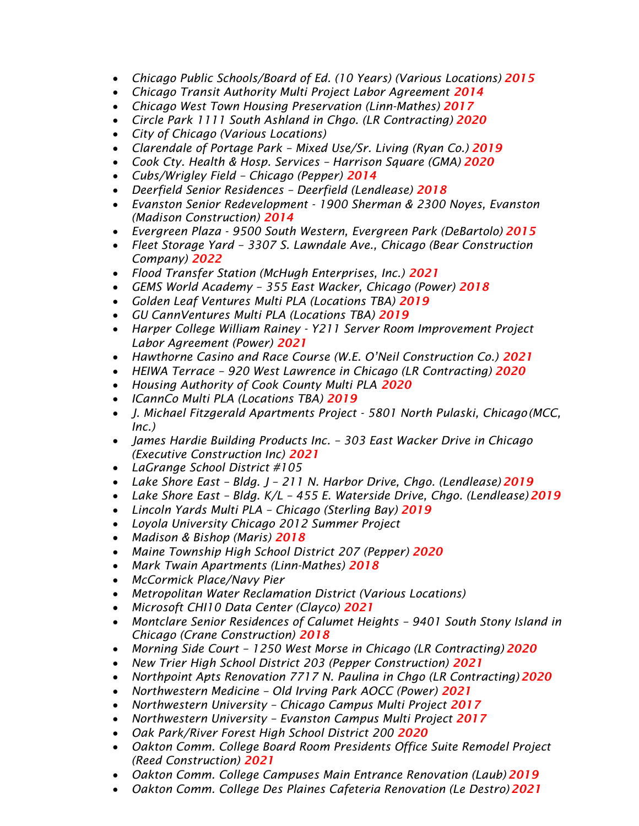- *Chicago Public Schools/Board of Ed. (10 Years) (Various Locations) 2015*
- Chicago Transit Authority Multi Project Labor Agreement 2014
- *Chicago West Town Housing Preservation (Linn-Mathes) 2017*
- *Circle Park 1111 South Ashland in Chgo. (LR Contracting) 2020*
- *City of Chicago (Various Locations)*
- *Clarendale of Portage Park – Mixed Use/Sr. Living (Ryan Co.) 2019*
- *Cook Cty. Health & Hosp. Services – Harrison Square (GMA) 2020*
- *Cubs/Wrigley Field – Chicago (Pepper) 2014*
- *Deerfield Senior Residences – Deerfield (Lendlease) 2018*
- *Evanston Senior Redevelopment - 1900 Sherman & 2300 Noyes, Evanston (Madison Construction) 2014*
- *Evergreen Plaza - 9500 South Western, Evergreen Park (DeBartolo) 2015*
- *Fleet Storage Yard – 3307 S. Lawndale Ave., Chicago (Bear Construction Company) 2022*
- *Flood Transfer Station (McHugh Enterprises, Inc.) 2021*
- *GEMS World Academy – 355 East Wacker, Chicago (Power) 2018*
- *Golden Leaf Ventures Multi PLA (Locations TBA) 2019*
- *GU CannVentures Multi PLA (Locations TBA) 2019*
- *Harper College William Rainey - Y211 Server Room Improvement Project Labor Agreement (Power) 2021*
- *Hawthorne Casino and Race Course (W.E. O'Neil Construction Co.) 2021*
- *HEIWA Terrace – 920 West Lawrence in Chicago (LR Contracting) 2020*
- *Housing Authority of Cook County Multi PLA 2020*
- *ICannCo Multi PLA (Locations TBA) 2019*
- *J. Michael Fitzgerald Apartments Project - 5801 North Pulaski, Chicago(MCC, Inc.)*
- *James Hardie Building Products Inc. – 303 East Wacker Drive in Chicago (Executive Construction Inc) 2021*
- *LaGrange School District #105*
- *Lake Shore East – Bldg. J – 211 N. Harbor Drive, Chgo. (Lendlease) 2019*
- *Lake Shore East – Bldg. K/L – 455 E. Waterside Drive, Chgo. (Lendlease)2019*
- *Lincoln Yards Multi PLA – Chicago (Sterling Bay) 2019*
- *Loyola University Chicago 2012 Summer Project*
- *Madison & Bishop (Maris) 2018*
- *Maine Township High School District 207 (Pepper) 2020*
- *Mark Twain Apartments (Linn-Mathes) 2018*
- *McCormick Place/Navy Pier*
- *Metropolitan Water Reclamation District (Various Locations)*
- *Microsoft CHI10 Data Center (Clayco) 2021*
- *Montclare Senior Residences of Calumet Heights – 9401 South Stony Island in Chicago (Crane Construction) 2018*
- *Morning Side Court – 1250 West Morse in Chicago (LR Contracting) 2020*
- *New Trier High School District 203 (Pepper Construction) 2021*
- *Northpoint Apts Renovation 7717 N. Paulina in Chgo (LR Contracting)2020*
- *Northwestern Medicine – Old Irving Park AOCC (Power) 2021*
- *Northwestern University – Chicago Campus Multi Project 2017*
- *Northwestern University – Evanston Campus Multi Project 2017*
- *Oak Park/River Forest High School District 200 2020*
- *Oakton Comm. College Board Room Presidents Office Suite Remodel Project (Reed Construction) 2021*
- *Oakton Comm. College Campuses Main Entrance Renovation (Laub) 2019*
- *Oakton Comm. College Des Plaines Cafeteria Renovation (Le Destro)2021*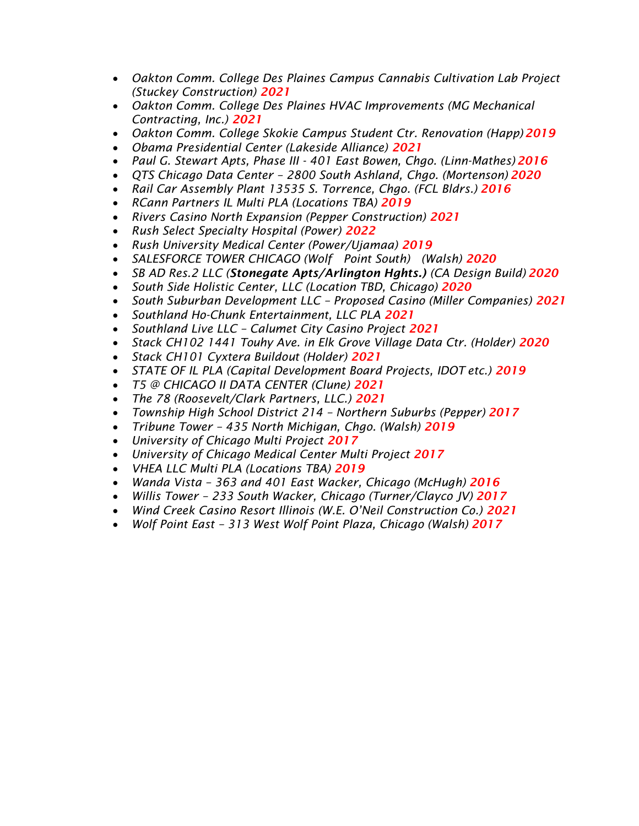- *Oakton Comm. College Des Plaines Campus Cannabis Cultivation Lab Project (Stuckey Construction) 2021*
- *Oakton Comm. College Des Plaines HVAC Improvements (MG Mechanical Contracting, Inc.) 2021*
- *Oakton Comm. College Skokie Campus Student Ctr. Renovation (Happ)2019*
- *Obama Presidential Center (Lakeside Alliance) 2021*
- *Paul G. Stewart Apts, Phase III - 401 East Bowen, Chgo. (Linn-Mathes) 2016*
- *QTS Chicago Data Center – 2800 South Ashland, Chgo. (Mortenson) 2020*
- *Rail Car Assembly Plant 13535 S. Torrence, Chgo. (FCL Bldrs.) 2016*
- *RCann Partners IL Multi PLA (Locations TBA) 2019*
- *Rivers Casino North Expansion (Pepper Construction) 2021*
- *Rush Select Specialty Hospital (Power) 2022*
- *Rush University Medical Center (Power/Ujamaa) 2019*
- *SALESFORCE TOWER CHICAGO (Wolf Point South) (Walsh) 2020*
- *SB AD Res.2 LLC (Stonegate Apts/Arlington Hghts.) (CA Design Build) 2020*
- *South Side Holistic Center, LLC (Location TBD, Chicago) 2020*
- *South Suburban Development LLC – Proposed Casino (Miller Companies) 2021*
- *Southland Ho-Chunk Entertainment, LLC PLA 2021*
- *Southland Live LLC – Calumet City Casino Project 2021*
- *Stack CH102 1441 Touhy Ave. in Elk Grove Village Data Ctr. (Holder) 2020*
- *Stack CH101 Cyxtera Buildout (Holder) 2021*
- *STATE OF IL PLA (Capital Development Board Projects, IDOT etc.) 2019*
- *T5 @ CHICAGO II DATA CENTER (Clune) 2021*
- *The 78 (Roosevelt/Clark Partners, LLC.) 2021*
- *Township High School District 214 – Northern Suburbs (Pepper) 2017*
- *Tribune Tower – 435 North Michigan, Chgo. (Walsh) 2019*
- *University of Chicago Multi Project 2017*
- *University of Chicago Medical Center Multi Project 2017*
- *VHEA LLC Multi PLA (Locations TBA) 2019*
- *Wanda Vista – 363 and 401 East Wacker, Chicago (McHugh) 2016*
- *Willis Tower – 233 South Wacker, Chicago (Turner/Clayco JV) 2017*
- *Wind Creek Casino Resort Illinois (W.E. O'Neil Construction Co.) 2021*
- *Wolf Point East – 313 West Wolf Point Plaza, Chicago (Walsh) 2017*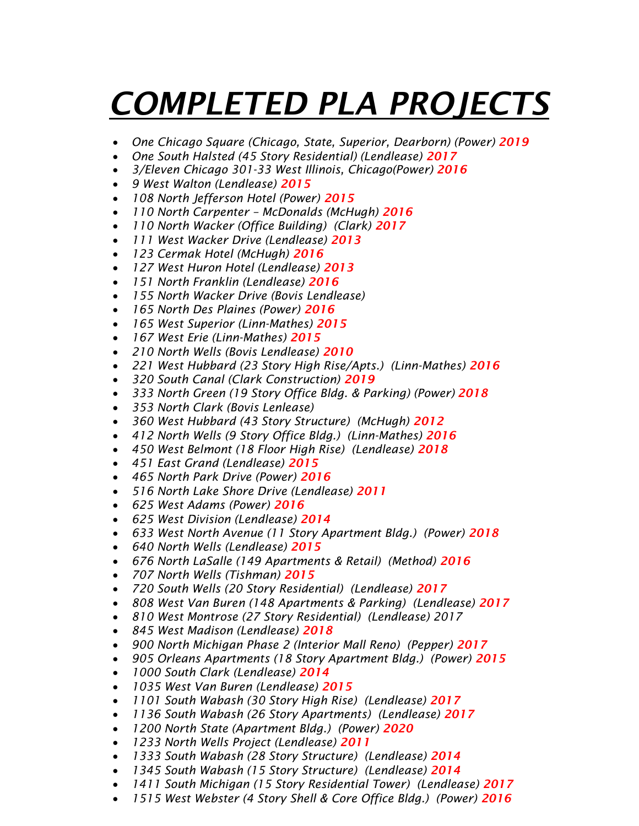## *COMPLETED PLA PROJECTS*

- *One Chicago Square (Chicago, State, Superior, Dearborn) (Power) 2019*
- *One South Halsted (45 Story Residential) (Lendlease) 2017*
- *3/Eleven Chicago 301-33 West Illinois, Chicago(Power) 2016*
- *9 West Walton (Lendlease) 2015*
- *108 North Jefferson Hotel (Power) 2015*
- *110 North Carpenter – McDonalds (McHugh) 2016*
- *110 North Wacker (Office Building) (Clark) 2017*
- *111 West Wacker Drive (Lendlease) 2013*
- *123 Cermak Hotel (McHugh) 2016*
- *127 West Huron Hotel (Lendlease) 2013*
- *151 North Franklin (Lendlease) 2016*
- *155 North Wacker Drive (Bovis Lendlease)*
- *165 North Des Plaines (Power) 2016*
- *165 West Superior (Linn-Mathes) 2015*
- *167 West Erie (Linn-Mathes) 2015*
- *210 North Wells (Bovis Lendlease) 2010*
- *221 West Hubbard (23 Story High Rise/Apts.) (Linn-Mathes) 2016*
- *320 South Canal (Clark Construction) 2019*
- *333 North Green (19 Story Office Bldg. & Parking) (Power) 2018*
- *353 North Clark (Bovis Lenlease)*
- *360 West Hubbard (43 Story Structure) (McHugh) 2012*
- *412 North Wells (9 Story Office Bldg.) (Linn-Mathes) 2016*
- *450 West Belmont (18 Floor High Rise) (Lendlease) 2018*
- *451 East Grand (Lendlease) 2015*
- *465 North Park Drive (Power) 2016*
- *516 North Lake Shore Drive (Lendlease) 2011*
- *625 West Adams (Power) 2016*
- *625 West Division (Lendlease) 2014*
- *633 West North Avenue (11 Story Apartment Bldg.) (Power) 2018*
- *640 North Wells (Lendlease) 2015*
- *676 North LaSalle (149 Apartments & Retail) (Method) 2016*
- *707 North Wells (Tishman) 2015*
- *720 South Wells (20 Story Residential) (Lendlease) 2017*
- *808 West Van Buren (148 Apartments & Parking) (Lendlease) 2017*
- *810 West Montrose (27 Story Residential) (Lendlease) 2017*
- *845 West Madison (Lendlease) 2018*
- 900 North Michigan Phase 2 (Interior Mall Reno) (Pepper) 2017
- *905 Orleans Apartments (18 Story Apartment Bldg.) (Power) 2015*
- *1000 South Clark (Lendlease) 2014*
- *1035 West Van Buren (Lendlease) 2015*
- *1101 South Wabash (30 Story High Rise) (Lendlease) 2017*
- *1136 South Wabash (26 Story Apartments) (Lendlease) 2017*
- *1200 North State (Apartment Bldg.) (Power) 2020*
- *1233 North Wells Project (Lendlease) 2011*
- *1333 South Wabash (28 Story Structure) (Lendlease) 2014*
- *1345 South Wabash (15 Story Structure) (Lendlease) 2014*
- *1411 South Michigan (15 Story Residential Tower) (Lendlease) 2017*
- **1515 West Webster (4 Story Shell & Core Office Bldg.) (Power) 2016**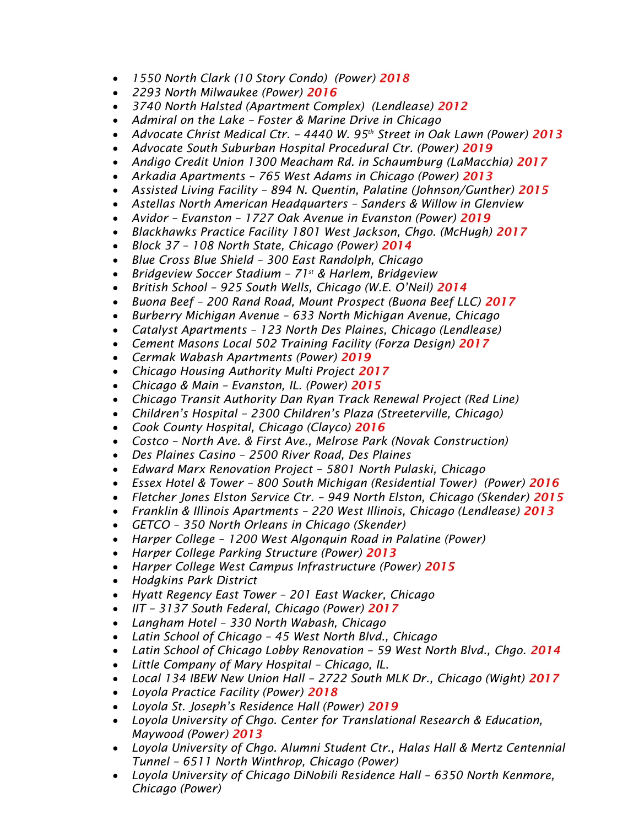- *1550 North Clark (10 Story Condo) (Power) 2018*
- *2293 North Milwaukee (Power) 2016*
- *3740 North Halsted (Apartment Complex) (Lendlease) 2012*
- *Admiral on the Lake – Foster & Marine Drive in Chicago*
- *Advocate Christ Medical Ctr. – 4440 W. 95th Street in Oak Lawn (Power) 2013*
- Advocate South Suburban Hospital Procedural Ctr. (Power) 2019
- *Andigo Credit Union 1300 Meacham Rd. in Schaumburg (LaMacchia) 2017*
- *Arkadia Apartments – 765 West Adams in Chicago (Power) 2013*
- *Assisted Living Facility – 894 N. Quentin, Palatine (Johnson/Gunther) 2015*
- *Astellas North American Headquarters – Sanders & Willow in Glenview*
- *Avidor – Evanston – 1727 Oak Avenue in Evanston (Power) 2019*
- *Blackhawks Practice Facility 1801 West Jackson, Chgo. (McHugh) 2017*
- *Block 37 – 108 North State, Chicago (Power) 2014*
- *Blue Cross Blue Shield – 300 East Randolph, Chicago*
- *Bridgeview Soccer Stadium – 71st & Harlem, Bridgeview*
- *British School – 925 South Wells, Chicago (W.E. O'Neil) 2014*
- *Buona Beef – 200 Rand Road, Mount Prospect (Buona Beef LLC) 2017*
- *Burberry Michigan Avenue – 633 North Michigan Avenue, Chicago*
- *Catalyst Apartments – 123 North Des Plaines, Chicago (Lendlease)*
- *Cement Masons Local 502 Training Facility (Forza Design) 2017*
- *Cermak Wabash Apartments (Power) 2019*
- *Chicago Housing Authority Multi Project 2017*
- *Chicago & Main – Evanston, IL. (Power) 2015*
- *Chicago Transit Authority Dan Ryan Track Renewal Project (Red Line)*
- *Children's Hospital – 2300 Children's Plaza (Streeterville, Chicago)*
- *Cook County Hospital, Chicago (Clayco) 2016*
- *Costco – North Ave. & First Ave., Melrose Park (Novak Construction)*
- *Des Plaines Casino – 2500 River Road, Des Plaines*
- *Edward Marx Renovation Project – 5801 North Pulaski, Chicago*
- *Essex Hotel & Tower – 800 South Michigan (Residential Tower) (Power) 2016*
- *Fletcher Jones Elston Service Ctr. – 949 North Elston, Chicago (Skender) 2015*
- *Franklin & Illinois Apartments – 220 West Illinois, Chicago (Lendlease) 2013*
- *GETCO – 350 North Orleans in Chicago (Skender)*
- *Harper College – 1200 West Algonquin Road in Palatine (Power)*
- *Harper College Parking Structure (Power) 2013*
- *Harper College West Campus Infrastructure (Power) 2015*
- *Hodgkins Park District*
- *Hyatt Regency East Tower – 201 East Wacker, Chicago*
- *IIT – 3137 South Federal, Chicago (Power) 2017*
- *Langham Hotel – 330 North Wabash, Chicago*
- *Latin School of Chicago – 45 West North Blvd., Chicago*
- *Latin School of Chicago Lobby Renovation – 59 West North Blvd., Chgo. 2014*
- *Little Company of Mary Hospital – Chicago, IL.*
- *Local 134 IBEW New Union Hall – 2722 South MLK Dr., Chicago (Wight) 2017*
- *Loyola Practice Facility (Power) 2018*
- *Loyola St. Joseph's Residence Hall (Power) 2019*
- *Loyola University of Chgo. Center for Translational Research & Education, Maywood (Power) 2013*
- *Loyola University of Chgo. Alumni Student Ctr., Halas Hall & Mertz Centennial Tunnel – 6511 North Winthrop, Chicago (Power)*
- *Loyola University of Chicago DiNobili Residence Hall – 6350 North Kenmore, Chicago (Power)*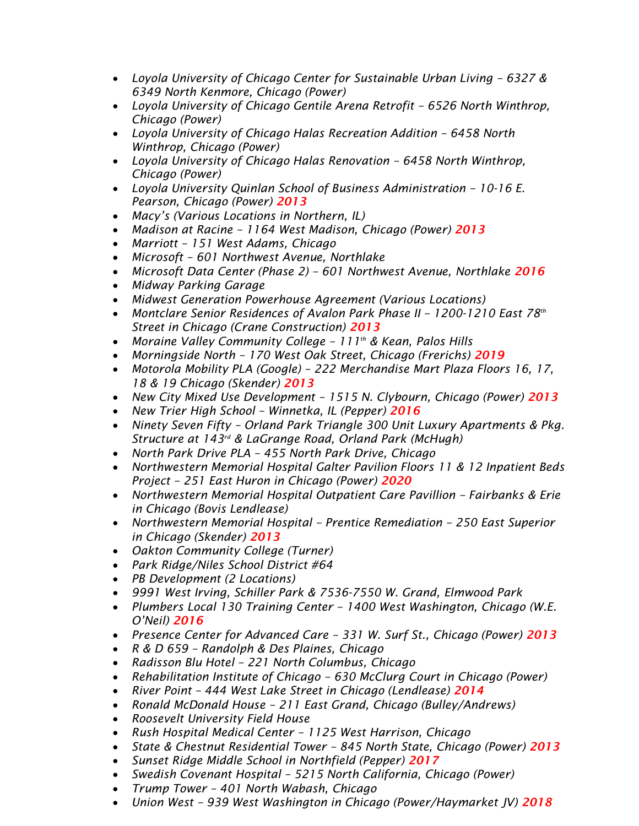- Loyola University of Chicago Center for Sustainable Urban Living 6327 & *6349 North Kenmore, Chicago (Power)*
- *Loyola University of Chicago Gentile Arena Retrofit – 6526 North Winthrop, Chicago (Power)*
- Loyola University of Chicago Halas Recreation Addition 6458 North *Winthrop, Chicago (Power)*
- *Loyola University of Chicago Halas Renovation – 6458 North Winthrop, Chicago (Power)*
- Loyola University Quinlan School of Business Administration 10-16 E. *Pearson, Chicago (Power) 2013*
- *Macy's (Various Locations in Northern, IL)*
- *Madison at Racine – 1164 West Madison, Chicago (Power) 2013*
- *Marriott – 151 West Adams, Chicago*
- *Microsoft – 601 Northwest Avenue, Northlake*
- *Microsoft Data Center (Phase 2) – 601 Northwest Avenue, Northlake 2016*
- *Midway Parking Garage*
- *Midwest Generation Powerhouse Agreement (Various Locations)*
- *Montclare Senior Residences of Avalon Park Phase II – 1200-1210 East 78th Street in Chicago (Crane Construction) 2013*
- *Moraine Valley Community College – 111th & Kean, Palos Hills*
- *Morningside North – 170 West Oak Street, Chicago (Frerichs) 2019*
- *Motorola Mobility PLA (Google) – 222 Merchandise Mart Plaza Floors 16, 17, 18 & 19 Chicago (Skender) 2013*
- *New City Mixed Use Development – 1515 N. Clybourn, Chicago (Power) 2013*
- *New Trier High School – Winnetka, IL (Pepper) 2016*
- *Ninety Seven Fifty – Orland Park Triangle 300 Unit Luxury Apartments & Pkg. Structure at 143rd & LaGrange Road, Orland Park (McHugh)*
- *North Park Drive PLA – 455 North Park Drive, Chicago*
- *Northwestern Memorial Hospital Galter Pavilion Floors 11 & 12 Inpatient Beds Project – 251 East Huron in Chicago (Power) 2020*
- *Northwestern Memorial Hospital Outpatient Care Pavillion – Fairbanks & Erie in Chicago (Bovis Lendlease)*
- *Northwestern Memorial Hospital – Prentice Remediation – 250 East Superior in Chicago (Skender) 2013*
- *Oakton Community College (Turner)*
- *Park Ridge/Niles School District #64*
- *PB Development (2 Locations)*
- *9991 West Irving, Schiller Park & 7536-7550 W. Grand, Elmwood Park*
- *Plumbers Local 130 Training Center – 1400 West Washington, Chicago (W.E. O'Neil) 2016*
- *Presence Center for Advanced Care – 331 W. Surf St., Chicago (Power) 2013*
- *R & D 659 – Randolph & Des Plaines, Chicago*
- *Radisson Blu Hotel – 221 North Columbus, Chicago*
- *Rehabilitation Institute of Chicago – 630 McClurg Court in Chicago (Power)*
- *River Point – 444 West Lake Street in Chicago (Lendlease) 2014*
- *Ronald McDonald House – 211 East Grand, Chicago (Bulley/Andrews)*
- *Roosevelt University Field House*
- *Rush Hospital Medical Center – 1125 West Harrison, Chicago*
- *State & Chestnut Residential Tower – 845 North State, Chicago (Power) 2013*
- *Sunset Ridge Middle School in Northfield (Pepper) 2017*
- *Swedish Covenant Hospital – 5215 North California, Chicago (Power)*
- *Trump Tower – 401 North Wabash, Chicago*
- *Union West – 939 West Washington in Chicago (Power/Haymarket JV) 2018*